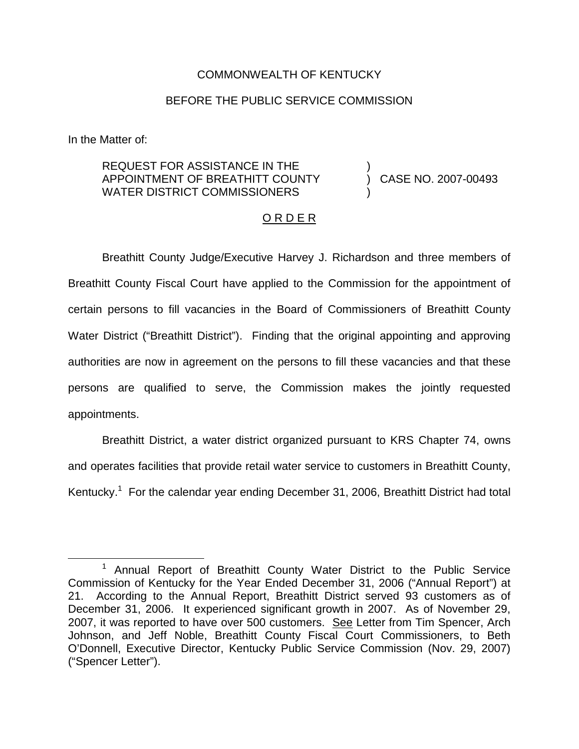### COMMONWEALTH OF KENTUCKY

## BEFORE THE PUBLIC SERVICE COMMISSION

In the Matter of:

## REQUEST FOR ASSISTANCE IN THE APPOINTMENT OF BREATHITT COUNTY WATER DISTRICT COMMISSIONERS

) CASE NO. 2007-00493

)

)

## O R D E R

Breathitt County Judge/Executive Harvey J. Richardson and three members of Breathitt County Fiscal Court have applied to the Commission for the appointment of certain persons to fill vacancies in the Board of Commissioners of Breathitt County Water District ("Breathitt District"). Finding that the original appointing and approving authorities are now in agreement on the persons to fill these vacancies and that these persons are qualified to serve, the Commission makes the jointly requested appointments.

Breathitt District, a water district organized pursuant to KRS Chapter 74, owns and operates facilities that provide retail water service to customers in Breathitt County, Kentucky.<sup>1</sup> For the calendar year ending December 31, 2006, Breathitt District had total

<sup>&</sup>lt;sup>1</sup> Annual Report of Breathitt County Water District to the Public Service Commission of Kentucky for the Year Ended December 31, 2006 ("Annual Report") at 21. According to the Annual Report, Breathitt District served 93 customers as of December 31, 2006. It experienced significant growth in 2007. As of November 29, 2007, it was reported to have over 500 customers. See Letter from Tim Spencer, Arch Johnson, and Jeff Noble, Breathitt County Fiscal Court Commissioners, to Beth O'Donnell, Executive Director, Kentucky Public Service Commission (Nov. 29, 2007) ("Spencer Letter").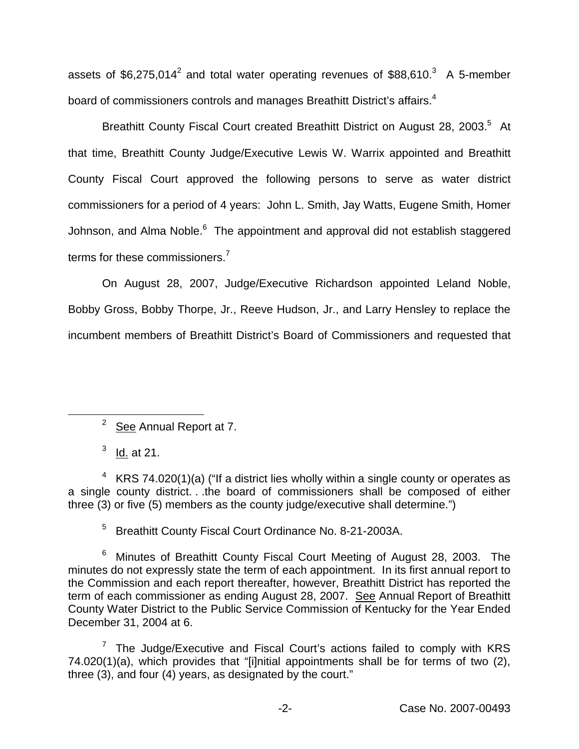assets of  $$6,275,014^2$  and total water operating revenues of  $$88,610.^3$  A 5-member board of commissioners controls and manages Breathitt District's affairs.<sup>4</sup>

Breathitt County Fiscal Court created Breathitt District on August 28, 2003.<sup>5</sup> At that time, Breathitt County Judge/Executive Lewis W. Warrix appointed and Breathitt County Fiscal Court approved the following persons to serve as water district commissioners for a period of 4 years: John L. Smith, Jay Watts, Eugene Smith, Homer Johnson, and Alma Noble.<sup>6</sup> The appointment and approval did not establish staggered terms for these commissioners.<sup>7</sup>

On August 28, 2007, Judge/Executive Richardson appointed Leland Noble, Bobby Gross, Bobby Thorpe, Jr., Reeve Hudson, Jr., and Larry Hensley to replace the incumbent members of Breathitt District's Board of Commissioners and requested that

<sup>2</sup> See Annual Report at 7.

 $3 \underline{Id.}$  at 21.

 $4$  KRS 74.020(1)(a) ("If a district lies wholly within a single county or operates as a single county district. . .the board of commissioners shall be composed of either three (3) or five (5) members as the county judge/executive shall determine.")

<sup>5</sup> Breathitt County Fiscal Court Ordinance No. 8-21-2003A.

<sup>6</sup> Minutes of Breathitt County Fiscal Court Meeting of August 28, 2003. The minutes do not expressly state the term of each appointment. In its first annual report to the Commission and each report thereafter, however, Breathitt District has reported the term of each commissioner as ending August 28, 2007. See Annual Report of Breathitt County Water District to the Public Service Commission of Kentucky for the Year Ended December 31, 2004 at 6.

 $7$  The Judge/Executive and Fiscal Court's actions failed to comply with KRS 74.020(1)(a), which provides that "[i]nitial appointments shall be for terms of two (2), three (3), and four (4) years, as designated by the court."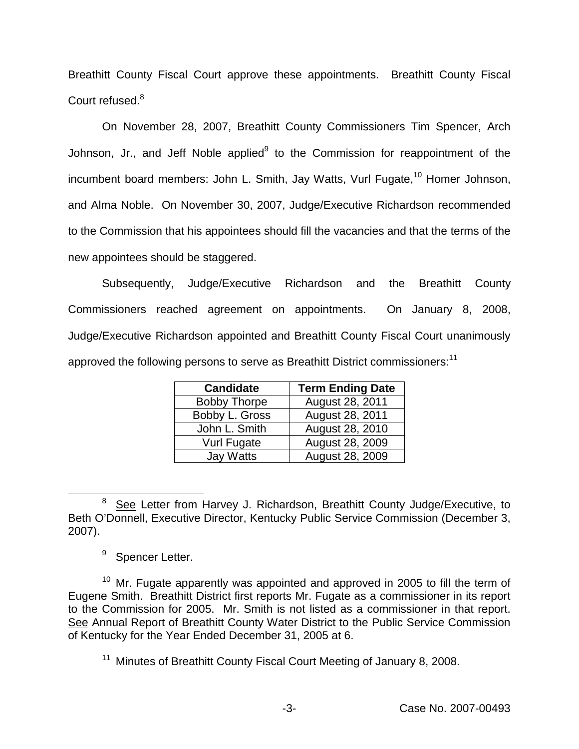Breathitt County Fiscal Court approve these appointments. Breathitt County Fiscal Court refused.<sup>8</sup>

On November 28, 2007, Breathitt County Commissioners Tim Spencer, Arch Johnson, Jr., and Jeff Noble applied $9$  to the Commission for reappointment of the incumbent board members: John L. Smith, Jay Watts, Vurl Fugate,<sup>10</sup> Homer Johnson, and Alma Noble. On November 30, 2007, Judge/Executive Richardson recommended to the Commission that his appointees should fill the vacancies and that the terms of the new appointees should be staggered.

Subsequently, Judge/Executive Richardson and the Breathitt County Commissioners reached agreement on appointments. On January 8, 2008, Judge/Executive Richardson appointed and Breathitt County Fiscal Court unanimously approved the following persons to serve as Breathitt District commissioners:<sup>11</sup>

| <b>Candidate</b>    | <b>Term Ending Date</b> |
|---------------------|-------------------------|
| <b>Bobby Thorpe</b> | August 28, 2011         |
| Bobby L. Gross      | August 28, 2011         |
| John L. Smith       | August 28, 2010         |
| Vurl Fugate         | <b>August 28, 2009</b>  |
| Jay Watts           | August 28, 2009         |

<sup>&</sup>lt;sup>8</sup> See Letter from Harvey J. Richardson, Breathitt County Judge/Executive, to Beth O'Donnell, Executive Director, Kentucky Public Service Commission (December 3, 2007).

<sup>9</sup> Spencer Letter.

 $10$  Mr. Fugate apparently was appointed and approved in 2005 to fill the term of Eugene Smith. Breathitt District first reports Mr. Fugate as a commissioner in its report to the Commission for 2005. Mr. Smith is not listed as a commissioner in that report. See Annual Report of Breathitt County Water District to the Public Service Commission of Kentucky for the Year Ended December 31, 2005 at 6.

<sup>11</sup> Minutes of Breathitt County Fiscal Court Meeting of January 8, 2008.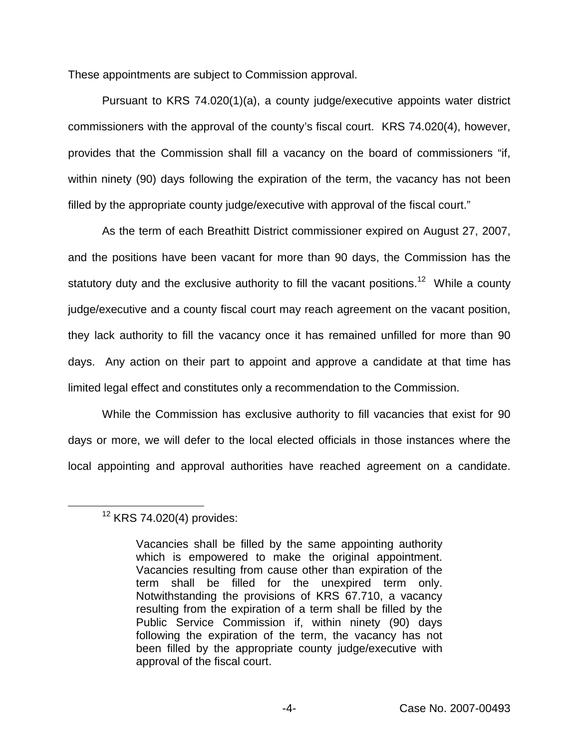These appointments are subject to Commission approval.

Pursuant to KRS 74.020(1)(a), a county judge/executive appoints water district commissioners with the approval of the county's fiscal court. KRS 74.020(4), however, provides that the Commission shall fill a vacancy on the board of commissioners "if, within ninety (90) days following the expiration of the term, the vacancy has not been filled by the appropriate county judge/executive with approval of the fiscal court."

As the term of each Breathitt District commissioner expired on August 27, 2007, and the positions have been vacant for more than 90 days, the Commission has the statutory duty and the exclusive authority to fill the vacant positions.<sup>12</sup> While a county judge/executive and a county fiscal court may reach agreement on the vacant position, they lack authority to fill the vacancy once it has remained unfilled for more than 90 days. Any action on their part to appoint and approve a candidate at that time has limited legal effect and constitutes only a recommendation to the Commission.

While the Commission has exclusive authority to fill vacancies that exist for 90 days or more, we will defer to the local elected officials in those instances where the local appointing and approval authorities have reached agreement on a candidate.

# <sup>12</sup> KRS 74.020(4) provides:

Vacancies shall be filled by the same appointing authority which is empowered to make the original appointment. Vacancies resulting from cause other than expiration of the term shall be filled for the unexpired term only. Notwithstanding the provisions of KRS 67.710, a vacancy resulting from the expiration of a term shall be filled by the Public Service Commission if, within ninety (90) days following the expiration of the term, the vacancy has not been filled by the appropriate county judge/executive with approval of the fiscal court.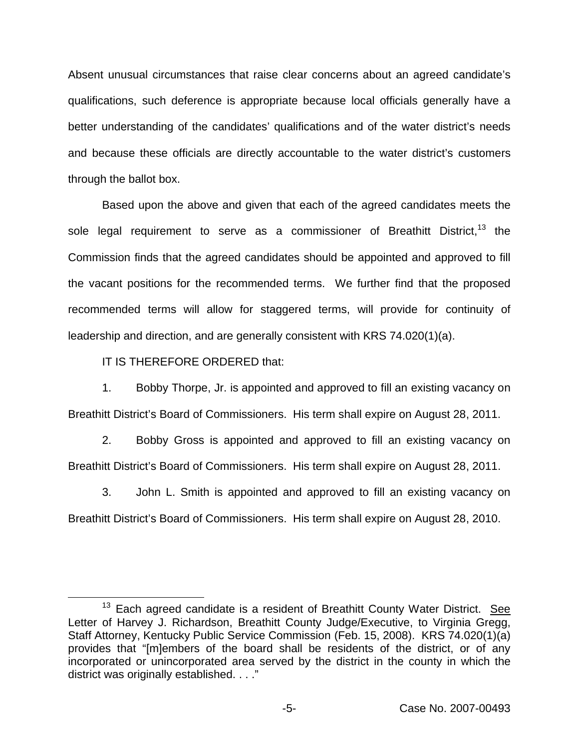Absent unusual circumstances that raise clear concerns about an agreed candidate's qualifications, such deference is appropriate because local officials generally have a better understanding of the candidates' qualifications and of the water district's needs and because these officials are directly accountable to the water district's customers through the ballot box.

Based upon the above and given that each of the agreed candidates meets the sole legal requirement to serve as a commissioner of Breathitt District,<sup>13</sup> the Commission finds that the agreed candidates should be appointed and approved to fill the vacant positions for the recommended terms. We further find that the proposed recommended terms will allow for staggered terms, will provide for continuity of leadership and direction, and are generally consistent with KRS 74.020(1)(a).

IT IS THEREFORE ORDERED that:

1. Bobby Thorpe, Jr. is appointed and approved to fill an existing vacancy on Breathitt District's Board of Commissioners. His term shall expire on August 28, 2011.

2. Bobby Gross is appointed and approved to fill an existing vacancy on Breathitt District's Board of Commissioners. His term shall expire on August 28, 2011.

3. John L. Smith is appointed and approved to fill an existing vacancy on Breathitt District's Board of Commissioners. His term shall expire on August 28, 2010.

 $13$  Each agreed candidate is a resident of Breathitt County Water District. See Letter of Harvey J. Richardson, Breathitt County Judge/Executive, to Virginia Gregg, Staff Attorney, Kentucky Public Service Commission (Feb. 15, 2008). KRS 74.020(1)(a) provides that "[m]embers of the board shall be residents of the district, or of any incorporated or unincorporated area served by the district in the county in which the district was originally established. . . ."